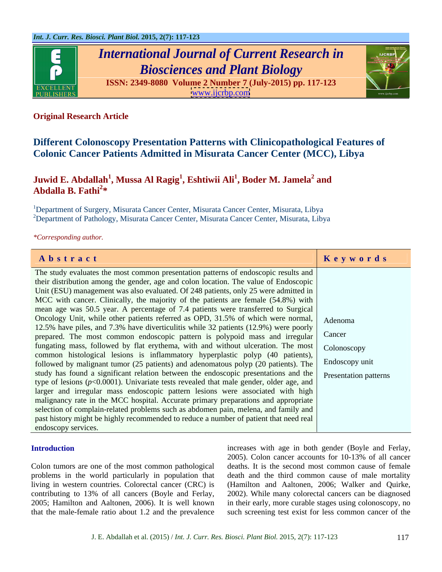

# *International Journal of Current Research in Biosciences and Plant Biology*

**ISSN: 2349-8080 Volume 2 Number 7 (July-2015) pp. 117-123** [www.ijcrbp.com](http://www.ijcrbp.com)



# **Original Research Article**

# **Different Colonoscopy Presentation Patterns with Clinicopathological Features of Colonic Cancer Patients Admitted in Misurata Cancer Center (MCC), Libya**

#### $\bold{Juwid E. Abdallah}^1, \bold{Mussa Al Ragig}^1, \bold{Eshtiwii Ali}^1, \bold{Boder M. Jamela}^2$  and  **and Abdalla B. Fathi<sup>2</sup> \***

<sup>1</sup>Department of Surgery, Misurata Cancer Center, Misurata Cancer Center, Misurata, Libya <sup>2</sup>Department of Pathology, Misurata Cancer Center, Misurata Cancer Center, Misurata, Libya

*\*Corresponding author.*

| Abstract                                                                                                         | Keywords |
|------------------------------------------------------------------------------------------------------------------|----------|
| The study evaluates the most common presentation patterns of endoscopic results and                              |          |
| their distribution among the gender, age and colon location. The value of Endoscopic                             |          |
| Unit (ESU) management was also evaluated. Of 248 patients, only 25 were admitted in                              |          |
| MCC with cancer. Clinically, the majority of the patients are female (54.8%) with                                |          |
| mean age was 50.5 year. A percentage of 7.4 patients were transferred to Surgical                                |          |
| Oncology Unit, while other patients referred as OPD, 31.5% of which were normal, Adenoma                         |          |
| 12.5% have piles, and 7.3% have diverticulitis while 32 patients (12.9%) were poorly                             |          |
| prepared. The most common endoscopic pattern is polypoid mass and irregular Cancer                               |          |
| fungating mass, followed by flat erythema, with and without ulceration. The most   Colonoscopy                   |          |
| common histological lesions is inflammatory hyperplastic polyp (40 patients),                                    |          |
| followed by malignant tumor (25 patients) and adenomatous polyp (20 patients). The Endoscopy unit                |          |
| study has found a significant relation between the endoscopic presentations and the <b>Presentation patterns</b> |          |
| type of lesions ( $p<0.0001$ ). Univariate tests revealed that male gender, older age, and                       |          |
| larger and irregular mass endoscopic pattern lesions were associated with high                                   |          |
| malignancy rate in the MCC hospital. Accurate primary preparations and appropriate                               |          |
| selection of complain-related problems such as abdomen pain, melena, and family and                              |          |
| past history might be highly recommended to reduce a number of patient that need real                            |          |
| endoscopy services.                                                                                              |          |

Colon tumors are one of the most common pathological deaths. It is the second most common cause of female problems in the world particularly in population that living in western countries. Colorectal cancer (CRC) is (Hamilton and Aaltonen, 2006; Walker and Quirke, contributing to 13% of all cancers (Boyle and Ferlay, 2005; Hamilton and Aaltonen, 2006). It is well known in their early, more curable stages using colonoscopy, no

**Introduction increases** with age in both gender (Boyle and Ferlay, that the male-female ratio about 1.2 and the prevalence such screening test exist for less common cancer of the 2005). Colon cancer accounts for 10-13% of all cancer death and the third common cause of male mortality 2002). While many colorectal cancers can be diagnosed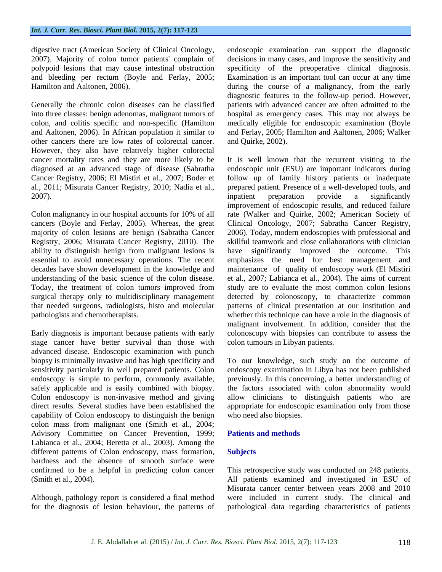other cancers there are low rates of colorectal cancer. However, they also have relatively higher colorectal diagnosed at an advanced stage of disease (Sabratha

majority of colon lesions are benign (Sabratha Cancer

stage cancer have better survival than those with advanced disease. Endoscopic examination with punch capability of Colon endoscopy to distinguish the benign colon mass from malignant one (Smith et al., 2004; Advisory Committee on Cancer Prevention, 1999; Patients and methods Labianca et al., 2004; Beretta et al., 2003). Among the different patterns of Colon endoscopy, mass formation, **Subjects** hardness and the absence of smooth surface were confirmed to be a helpful in predicting colon cancer This retrospective study was conducted on 248 patients. (Smith et al., 2004). All patients examined and investigated in ESU of

for the diagnosis of lesion behaviour, the patterns of pathological data regarding characteristics of patients

digestive tract (American Society of Clinical Oncology, endoscopic examination can support the diagnostic 2007). Majority of colon tumor patients' complain of decisions in many cases, and improve the sensitivity and polypoid lesions that may cause intestinal obstruction specificity of the preoperative clinical diagnosis. and bleeding per rectum (Boyle and Ferlay, 2005; Examination is an important tool can occur at any time Hamilton and Aaltonen, 2006). during the course of a malignancy, from the early Generally the chronic colon diseases can be classified patients with advanced cancer are often admitted to the into three classes: benign adenomas, malignant tumors of hospital as emergency cases. This may not always be colon, and colitis specific and non-specific (Hamilton medically eligible for endoscopic examination (Boyle and Aaltonen, 2006). In African population it similar to and Ferlay, 2005; Hamilton and Aaltonen, 2006; Walker diagnostic features to the follow-up period. However, and Quirke, 2002).

cancer mortality rates and they are more likely to be It is well known that the recurrent visiting to the Cancer Registry, 2006; El Mistiri et al., 2007; Boder et follow up of family history patients or inadequate al., 2011; Misurata Cancer Registry, 2010; Nadia et al., prepared patient. Presence of a well-developed tools, and 2007). 2007). Colon malignancy in our hospital accounts for 10% of all rate (Walker and Quirke, 2002; American Society of cancers (Boyle and Ferlay, 2005). Whereas, the great Clinical Oncology, 2007; Sabratha Cancer Registry, Registry, 2006; Misurata Cancer Registry, 2010). The skillful teamwork and close collaborations with clinician ability to distinguish benign from malignant lesions is have significantly improved the outcome. This essential to avoid unnecessary operations. The recent emphasizes the need for best management and decades have shown development in the knowledge and maintenance of quality of endoscopy work (El Mistiri understanding of the basic science of the colon disease. et al., 2007; Labianca et al., 2004). The aims of current Today, the treatment of colon tumors improved from study are to evaluate the most common colon lesions surgical therapy only to multidisciplinary management detected by colonoscopy, to characterize common that needed surgeons, radiologists, histo and molecular patterns of clinical presentation atour institution and pathologists and chemotherapists. whether this technique can have a role in the diagnosis of Early diagnosis is important because patients with early colonoscopy with biopsies can contribute to assess the endoscopic unit (ESU) are important indicators during inpatient preparation provide a significantly improvement of endoscopic results, and reduced failure 2006). Today, modern endoscopies with professional and malignant involvement. In addition, consider that the colon tumours in Libyan patients.

biopsy is minimally invasive and has high specificity and To our knowledge, such study on the outcome of sensitivity particularly in well prepared patients. Colon endoscopy examination in Libya has not been published endoscopy is simple to perform, commonly available, previously. In this concerning, a better understanding of safely applicable and is easily combined with biopsy. the factors associated with colon abnormality would Colon endoscopy is non-invasive method and giving allow clinicians to distinguish patients who are direct results. Several studies have been established the appropriate for endoscopic examination only from those who need also biopsies.

# **Patients and methods**

### **Subjects**

Although, pathology report is considered a final method were included in current study. The clinical and Misurata cancer center between years 2008 and 2010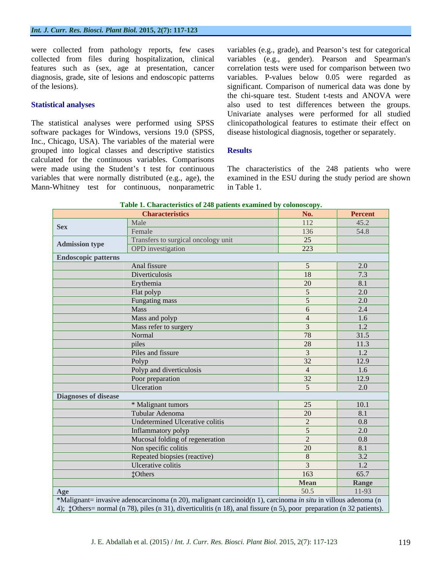collected from files during hospitalization, clinical

software packages for Windows, versions 19.0 (SPSS, Inc., Chicago, USA). The variables of the material were grouped into logical classes and descriptive statistics Results calculated for the continuous variables. Comparisons were made using the Student's t test for continuous The characteristics of the 248 patients who were variables that were normally distributed (e.g., age), the examined in the ESU during the study period are shown Mann-Whitney test for continuous, nonparametric in Table 1.

were collected from pathology reports, few cases variables (e.g., grade), and Pearson's test for categorical features such as (sex, age at presentation, cancer correlation tests were used for comparison between two diagnosis, grade, site of lesions and endoscopic patterns variables. P-values below 0.05 were regarded as of the lesions). significant. Comparison of numerical data was done by **Statistical analyses** also used to test differences between the groups. The statistical analyses were performed using SPSS clinicopathological features to estimate their effect on variables (e.g., gender). Pearson and Spearman's the chi-square test. Student t-tests and ANOVA were Univariate analyses were performed for all studied disease histological diagnosis, together or separately.

### **Results**

in Table 1.

|                             | <b>Characteristics</b>                                                                                                                                                                                                                                | No.              | <b>Percent</b>   |
|-----------------------------|-------------------------------------------------------------------------------------------------------------------------------------------------------------------------------------------------------------------------------------------------------|------------------|------------------|
|                             | Male                                                                                                                                                                                                                                                  | 112              | 45.2             |
| <b>Sex</b>                  | Female                                                                                                                                                                                                                                                | 136              | 54.8             |
| <b>Admission type</b>       | Transfers to surgical oncology unit                                                                                                                                                                                                                   | 25               |                  |
|                             | <b>OPD</b> investigation                                                                                                                                                                                                                              | $\overline{223}$ |                  |
| <b>Endoscopic patterns</b>  |                                                                                                                                                                                                                                                       |                  |                  |
|                             | Anal fissure                                                                                                                                                                                                                                          |                  | 2.0              |
|                             | Diverticulosis                                                                                                                                                                                                                                        | 18               | 7.3              |
|                             | Erythemia                                                                                                                                                                                                                                             | 20               | 8.1              |
|                             | Flat polyp                                                                                                                                                                                                                                            | $\sqrt{5}$       | $\overline{2.0}$ |
|                             | Fungating mass                                                                                                                                                                                                                                        |                  | 2.0              |
|                             | Mass                                                                                                                                                                                                                                                  | -6               | 2.4              |
|                             | Mass and polyp                                                                                                                                                                                                                                        | $\angle$         | 1.6              |
|                             | Mass refer to surgery                                                                                                                                                                                                                                 | $\mathcal{R}$    | 1.2              |
|                             | Normal                                                                                                                                                                                                                                                | 78               | 31.5             |
|                             | piles                                                                                                                                                                                                                                                 | $\overline{28}$  | 11.3             |
|                             | Piles and fissure                                                                                                                                                                                                                                     | $\mathcal{R}$    | $\overline{1.2}$ |
|                             | Polyp                                                                                                                                                                                                                                                 | 32               | 12.9             |
|                             | Polyp and diverticulosis                                                                                                                                                                                                                              |                  | 1.6              |
|                             | Poor preparation                                                                                                                                                                                                                                      | 32               | 12.9             |
|                             | Ulceration                                                                                                                                                                                                                                            | $\sim$           | 2.0              |
| <b>Diagnoses of disease</b> |                                                                                                                                                                                                                                                       |                  |                  |
|                             | * Malignant tumors                                                                                                                                                                                                                                    | 25               | 10.1             |
|                             | Tubular Adenoma                                                                                                                                                                                                                                       | 20               | 8.1              |
|                             | Undetermined Ulcerative colitis                                                                                                                                                                                                                       | $\gamma$         | 0.8              |
|                             | Inflammatory polyp                                                                                                                                                                                                                                    |                  | 2.0              |
|                             | Mucosal folding of regeneration                                                                                                                                                                                                                       | $\gamma$         | $\boxed{0.8}$    |
|                             | Non specific colitis                                                                                                                                                                                                                                  | 20               | 8.1              |
|                             | Repeated biopsies (reactive)                                                                                                                                                                                                                          | 8                | $\overline{3.2}$ |
|                             | Ulcerative colitis                                                                                                                                                                                                                                    | $\overline{a}$   | 1.2              |
|                             | <b>Others</b>                                                                                                                                                                                                                                         | 163              | 65.7             |
|                             |                                                                                                                                                                                                                                                       | Mean             | Range            |
| Age                         |                                                                                                                                                                                                                                                       | 50.5             | 11-93            |
|                             | *Malignant= invasive adenocarcinoma (n 20), malignant carcinoid(n 1), carcinoma in situ in villous adenoma (n<br>4); $\updownarrow$ Others= normal (n 78), piles (n 31), diverticulitis (n 18), anal fissure (n 5), poor preparation (n 32 patients). |                  |                  |

### **Table 1. Characteristics of 248 patients examined by colonoscopy.**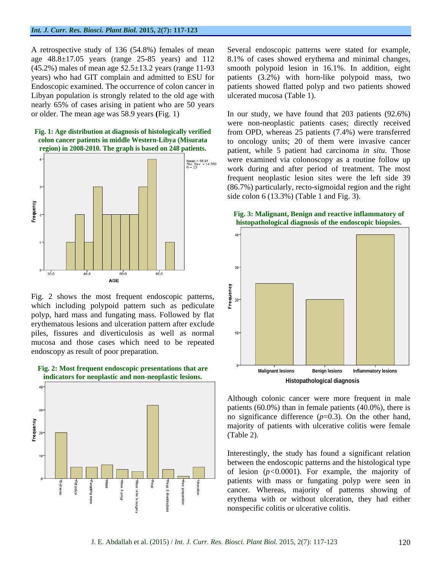A retrospective study of 136 (54.8%) females of mean Several endoscopic patterns were stated for example, Libyan population is strongly related to the old age with nearly 65% of cases arising in patient who are 50 years





Fig. 2 shows the most frequent endoscopic patterns,  $\frac{3}{8}$  which including polypoid pattern such as pediculate which including polypoid pattern such as pediculate polyp, hard mass and fungating mass. Followed by flat erythematous lesions and ulceration pattern after exclude piles, fissures and diverticulosis as well as normal mucosa and those cases which need to be repeated endoscopy as result of poor preparation.



age 48.8±17.05 years (range 25-85 years) and 112 8.1% of cases showed erythema and minimal changes,  $(45.2\%)$  males of mean age  $52.5\pm13.2$  years (range 11-93 smooth polypoid lesion in 16.1%. In addition, eight years) who had GIT complain and admitted to ESU for patients (3.2%) with horn-like polypoid mass, two Endoscopic examined. The occurrence of colon cancer in patients showed flatted polyp and two patients showed ulcerated mucosa (Table 1).

or older. The mean age was 58.9 years **(**Fig. 1) In our study, we have found that 203 patients (92.6%) **Fig. 1: Age distribution at diagnosis of histologically verified**  from OPD, whereas 25 patients (7.4%) were transferred **colon cancer patients in middle Western-Libya (Misurata** to oncology units; 20 of them were invasive cancer **region) in 2008-2010. The graph is based on 248 patients.** patient, while 5 patient had carcinoma *in situ*. Those were non-neoplastic patients cases; directly received were examined via colonoscopy as a routine follow up work during and after period of treatment. The most frequent neoplastic lesion sites were the left side 39 (86.7%) particularly, recto-sigmoidal region and the right side colon 6 (13.3%) (Table 1 and Fig. 3).





Although colonic cancer were more frequent in male patients (60.0%) than in female patients (40.0%), there is no significance difference (*p*=0.3). On the other hand, majority of patients with ulcerative colitis were female (Table 2).

Interestingly, the study has found a significant relation between the endoscopic patterns and the histological type of lesion (*p<*0.0001). For example, the majority of patients with mass or fungating polyp were seen in cancer. Whereas, majority of patterns showing of erythema with or without ulceration, they had either nonspecific colitis or ulcerative colitis.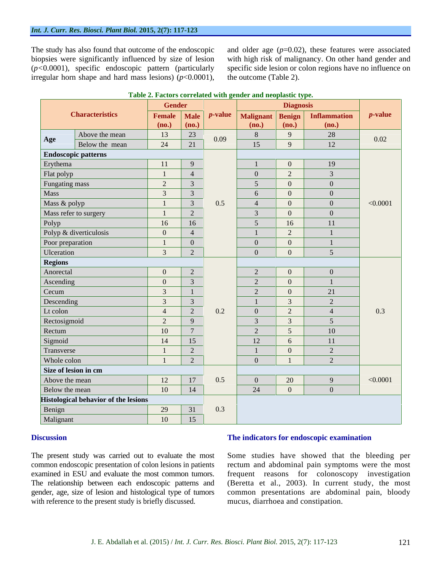irregular horn shape and hard mass lesions)  $(p<0.0001)$ ,

The study has also found that outcome of the endoscopic and older age (*p*=0.02), these features were associated biopsies were significantly influenced by size of lesion with high risk of malignancy. On other hand gender and (*p<*0.0001), specific endoscopic pattern (particularly specific side lesion or colon regions have no influence on the outcome (Table 2).

|                                      | <b>Diagnosis</b><br><b>Gender</b> |                 |                                    |                |                         |                                   |                 |
|--------------------------------------|-----------------------------------|-----------------|------------------------------------|----------------|-------------------------|-----------------------------------|-----------------|
| <b>Characteristics</b>               |                                   |                 | <b>Female</b> Male <i>p</i> -value |                |                         | Malignant   Benign   Inflammation | <i>p</i> -value |
|                                      | (no.)                             | (no.)           |                                    | (no.)          | (no.)                   | (no.)                             |                 |
| Above the mean<br>Age                | 13                                | 23              | 0.09                               |                | $\overline{9}$          | 28                                | 0.02            |
| Below the mean                       | 24                                | 21              |                                    | 15             | $\overline{9}$          | 12                                |                 |
| <b>Endoscopic patterns</b>           |                                   |                 |                                    |                |                         |                                   |                 |
| Erythema                             | $\vert$ 11 $\vert$                | $\overline{9}$  |                                    |                | $\overline{0}$          | 19                                |                 |
| Flat polyp                           | $\frac{1}{2}$                     | $\overline{4}$  |                                    | $\overline{0}$ | $\overline{2}$          |                                   |                 |
| Fungating mass                       | $\overline{2}$                    | $\mathcal{E}$   |                                    | $\overline{5}$ | $\overline{0}$          |                                   |                 |
| Mass                                 | $\overline{3}$                    | 3               |                                    | 6              | $\overline{0}$          |                                   |                 |
| Mass & polyp                         | $\overline{1}$                    | $\mathcal{R}$   | 0.5                                | $\overline{4}$ | $\overline{0}$          |                                   | < 0.0001        |
| Mass refer to surgery                | $\overline{1}$                    | 2               |                                    |                | $\overline{0}$          |                                   |                 |
| Polyp                                | 16                                | 16              |                                    | $5^{\circ}$    | 16                      | 11                                |                 |
| Polyp & diverticulosis               | $\overline{0}$                    | $\overline{4}$  |                                    | $\overline{1}$ | $\overline{2}$          |                                   |                 |
| Poor preparation                     | $\overline{1}$                    | $\overline{0}$  |                                    | $\theta$       | $\overline{0}$          |                                   |                 |
| <b>Ulceration</b>                    | $\overline{3}$                    | $\overline{2}$  |                                    | $\overline{0}$ | $\overline{0}$          |                                   |                 |
| <b>Regions</b>                       |                                   |                 |                                    |                |                         |                                   |                 |
| Anorectal                            | $\overline{0}$                    | $\overline{2}$  |                                    | $\overline{2}$ | $\overline{\mathbf{0}}$ |                                   |                 |
| Ascending                            | $\Omega$                          |                 |                                    | $\overline{2}$ | $\overline{0}$          |                                   |                 |
| Cecum                                |                                   | $\overline{1}$  |                                    | $\overline{2}$ | $\overline{0}$          | 21                                |                 |
| Descending                           | $\overline{3}$                    | $\mathcal{R}$   |                                    | $\overline{1}$ | $\overline{3}$          | $\bigcap$                         |                 |
| Lt colon                             | $\overline{4}$                    | 2               | 0.2                                | $\overline{0}$ | $\overline{2}$          |                                   | 0.3             |
| Rectosigmoid                         | 2                                 | -9              |                                    |                | $\overline{3}$          |                                   |                 |
| Rectum                               | 10                                | $7\overline{ }$ |                                    | $\overline{2}$ | 5 <sup>5</sup>          | 10                                |                 |
| Sigmoid                              | 14                                | 15              |                                    | 12             | 6                       | 11                                |                 |
| Transverse                           |                                   | 2               |                                    |                | $\overline{0}$          | $\bigcap$                         |                 |
| Whole colon                          | $\overline{1}$                    | $\overline{2}$  |                                    | $\overline{0}$ | $\overline{1}$          | $\sim$                            |                 |
| Size of lesion in cm                 |                                   |                 |                                    |                |                         |                                   |                 |
| Above the mean                       | 12                                | 17              | 0.5                                | $\overline{0}$ | 20                      |                                   | < 0.0001        |
| Below the mean                       | 10                                | 14              |                                    | 24             | $\overline{0}$          |                                   |                 |
| Histological behavior of the lesions |                                   |                 |                                    |                |                         |                                   |                 |
| Benign                               | 29                                | 31              | 0.3                                |                |                         |                                   |                 |
| Malignant                            | 10                                | 15              |                                    |                |                         |                                   |                 |

#### **Table 2. Factors correlated with gender and neoplastic type.**

# **Discussion Discussion Discussion Discussion Discussion Discussion Discussion Discussion Discussion Discussion Discussion Discussion Discussion Discussion Discussion Discussion Discussion**

The present study was carried out to evaluate the most Some studies have showed that the bleeding per common endoscopic presentation of colon lesions in patients rectum and abdominal pain symptoms were the most examined in ESU and evaluate the most common tumors. frequent reasons for colonoscopy investigation The relationship between each endoscopic patterns and (Beretta et al., 2003). In current study, the most gender, age, size of lesion and histological type of tumors common presentations are abdominal pain, bloody **The indicators for endoscopic examination**<br>The present study was carried out to evaluate the most<br>common endoscopic presentation of colon lesions in patients<br>rectum and abdominal pain symptoms were the most<br>examined in ES mucus, diarrhoea and constipation.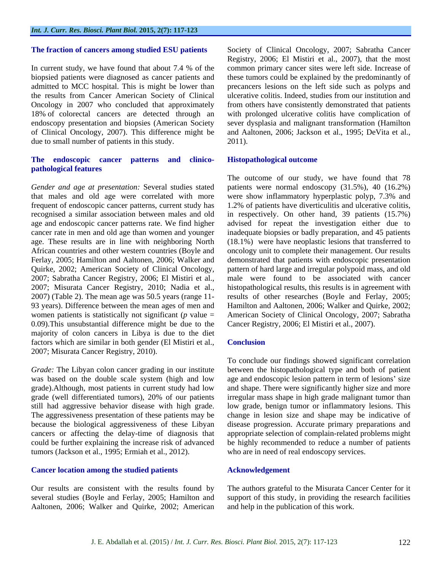the results from Cancer American Society of Clinical due to small number of patients in this study. 2011).

# **The endoscopic cancer patterns and clinico pathological features**

0.09).This unsubstantial difference might be due to the majority of colon cancers in Libya is due to the diet factors which are similar in both gender (El Mistiri et al., Conclusion 2007; Misurata Cancer Registry, 2010).

tumors (Jackson et al., 1995; Ermiah et al., 2012).

### **Cancer location among the studied patients**

Our results are consistent with the results found by The authors grateful to the Misurata Cancer Center for it several studies (Boyle and Ferlay, 2005; Hamilton and support of this study, in providing the research facilities Aaltonen, 2006; Walker and Quirke, 2002; American

**The fraction of cancers among studied ESU patients** Society of Clinical Oncology, 2007; Sabratha Cancer In current study, we have found that about 7.4 % of the common primary cancer sites were left side. Increase of biopsied patients were diagnosed as cancer patients and these tumors could be explained by the predominantly of admitted to MCC hospital. This is might be lower than precancers lesions on the left side such as polyps and Oncology in 2007 who concluded that approximately from others have consistently demonstrated that patients 18% of colorectal cancers are detected through an with prolonged ulcerative colitis have complication of endoscopy presentation and biopsies (American Society sever dysplasia and malignant transformation (Hamilton of Clinical Oncology, 2007). This difference might be and Aaltonen, 2006; Jackson et al., 1995; DeVita et al., Registry, 2006; El Mistiri et al., 2007), that the most ulcerative colitis. Indeed, studies from our institution and 2011).

### **Histopathological outcome**

*Gender and age at presentation:* Several studies stated patients were normal endoscopy (31.5%), 40 (16.2%) that males and old age were correlated with more were show inflammatory hyperplastic polyp, 7.3% and frequent of endoscopic cancer patterns, current study has 1.2% of patients have diverticulitis and ulcerative colitis, recognised a similar association between males and old in respectively. On other hand, 39 patients (15.7%) age and endoscopic cancer patterns rate. We find higher advised for repeat the investigation either due to cancer rate in men and old age than women and younger inadequate biopsies or badly preparation, and 45 patients age. These results are in line with neighboring North (18.1%) were have neoplastic lesions that transferred to African countries and other western countries (Boyle and oncology unit to complete their management. Our results Ferlay, 2005; Hamilton and Aaltonen, 2006; Walker and demonstrated that patients with endoscopic presentation Quirke, 2002; American Society of Clinical Oncology, pattern of hard large and irregular polypoid mass, and old 2007; Sabratha Cancer Registry, 2006; El Mistiri et al., male were found to be associated with cancer 2007; Misurata Cancer Registry, 2010; Nadia et al., histopathological results, this results is in agreement with 2007) (Table 2). The mean age was 50.5 years (range 11- results of other researches (Boyle and Ferlay, 2005; 93 years). Difference between the mean ages of men and Hamilton and Aaltonen, 2006; Walker and Quirke, 2002; women patients is statistically not significant (*p* value = American Society of Clinical Oncology, 2007; Sabratha The outcome of our study, we have found that 78 Cancer Registry, 2006; El Mistiri et al., 2007).

### **Conclusion**

*Grade:* The Libyan colon cancer grading in our institute between the histopathological type and both of patient was based on the double scale system (high and low age and endoscopic lesion pattern in term of lesions' size grade).Although, most patients in current study had low and shape. Therewere significantly higher size and more grade (well differentiated tumors), 20% of our patients irregular mass shape in high grade malignant tumor than still had aggressive behavior disease with high grade. low grade, benign tumor or inflammatory lesions. This The aggressiveness presentation of these patients may be change in lesion size and shape may be indicative of because the biological aggressiveness of these Libyan disease progression. Accurate primary preparations and cancers or affecting the delay-time of diagnosis that appropriate selection of complain-related problems might could be further explaining the increase risk of advanced be highly recommended to reduce a number of patients To conclude our findings showed significant correlation who are in need of real endoscopy services.

# **Acknowledgement**

and help in the publication of this work.